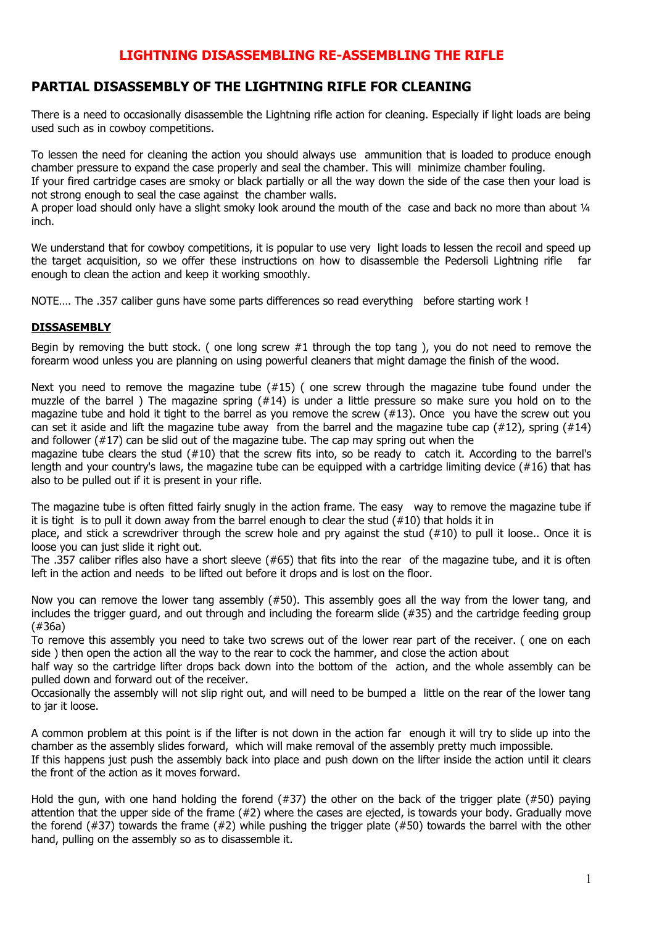## **LIGHTNING DISASSEMBLING RE-ASSEMBLING THE RIFLE**

## **PARTIAL DISASSEMBLY OF THE LIGHTNING RIFLE FOR CLEANING**

There is a need to occasionally disassemble the Lightning rifle action for cleaning. Especially if light loads are being used such as in cowboy competitions.

To lessen the need for cleaning the action you should always use ammunition that is loaded to produce enough chamber pressure to expand the case properly and seal the chamber. This will minimize chamber fouling.

If your fired cartridge cases are smoky or black partially or all the way down the side of the case then your load is not strong enough to seal the case against the chamber walls.

A proper load should only have a slight smoky look around the mouth of the case and back no more than about 1/4 inch.

We understand that for cowboy competitions, it is popular to use very light loads to lessen the recoil and speed up the target acquisition, so we offer these instructions on how to disassemble the Pedersoli Lightning rifle far enough to clean the action and keep it working smoothly.

NOTE.... The .357 caliber guns have some parts differences so read everything before starting work !

## **DISSASEMBLY**

Begin by removing the butt stock. ( one long screw  $#1$  through the top tang), you do not need to remove the forearm wood unless you are planning on using powerful cleaners that might damage the finish of the wood.

Next you need to remove the magazine tube (#15) ( one screw through the magazine tube found under the muzzle of the barrel ) The magazine spring (#14) is under a little pressure so make sure you hold on to the magazine tube and hold it tight to the barrel as you remove the screw (#13). Once you have the screw out you can set it aside and lift the magazine tube away from the barrel and the magazine tube cap (#12), spring (#14) and follower (#17) can be slid out of the magazine tube. The cap may spring out when the

magazine tube clears the stud (#10) that the screw fits into, so be ready to catch it. According to the barrel's length and your country's laws, the magazine tube can be equipped with a cartridge limiting device (#16) that has also to be pulled out if it is present in your rifle.

The magazine tube is often fitted fairly snugly in the action frame. The easy way to remove the magazine tube if it is tight is to pull it down away from the barrel enough to clear the stud (#10) that holds it in

place, and stick a screwdriver through the screw hole and pry against the stud (#10) to pull it loose.. Once it is loose you can just slide it right out.

The .357 caliber rifles also have a short sleeve (#65) that fits into the rear of the magazine tube, and it is often left in the action and needs to be lifted out before it drops and is lost on the floor.

Now you can remove the lower tang assembly (#50). This assembly goes all the way from the lower tang, and includes the trigger guard, and out through and including the forearm slide (#35) and the cartridge feeding group (#36a)

To remove this assembly you need to take two screws out of the lower rear part of the receiver. ( one on each side ) then open the action all the way to the rear to cock the hammer, and close the action about

half way so the cartridge lifter drops back down into the bottom of the action, and the whole assembly can be pulled down and forward out of the receiver.

Occasionally the assembly will not slip right out, and will need to be bumped a little on the rear of the lower tang to jar it loose.

A common problem at this point is if the lifter is not down in the action far enough it will try to slide up into the chamber as the assembly slides forward, which will make removal of the assembly pretty much impossible. If this happens just push the assembly back into place and push down on the lifter inside the action until it clears

the front of the action as it moves forward.

Hold the gun, with one hand holding the forend (#37) the other on the back of the trigger plate (#50) paying attention that the upper side of the frame (#2) where the cases are ejected, is towards your body. Gradually move the forend (#37) towards the frame (#2) while pushing the trigger plate (#50) towards the barrel with the other hand, pulling on the assembly so as to disassemble it.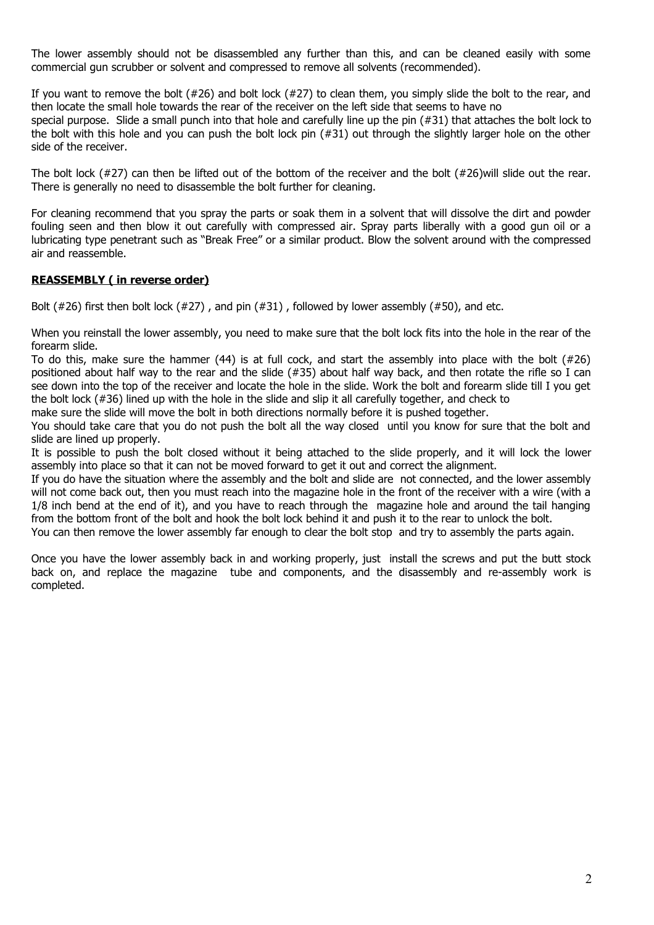The lower assembly should not be disassembled any further than this, and can be cleaned easily with some commercial gun scrubber or solvent and compressed to remove all solvents (recommended).

If you want to remove the bolt  $(#26)$  and bolt lock  $(#27)$  to clean them, you simply slide the bolt to the rear, and then locate the small hole towards the rear of the receiver on the left side that seems to have no special purpose. Slide a small punch into that hole and carefully line up the pin (#31) that attaches the bolt lock to the bolt with this hole and you can push the bolt lock pin (#31) out through the slightly larger hole on the other side of the receiver.

The bolt lock (#27) can then be lifted out of the bottom of the receiver and the bolt (#26)will slide out the rear. There is generally no need to disassemble the bolt further for cleaning.

For cleaning recommend that you spray the parts or soak them in a solvent that will dissolve the dirt and powder fouling seen and then blow it out carefully with compressed air. Spray parts liberally with a good gun oil or a lubricating type penetrant such as "Break Free" or a similar product. Blow the solvent around with the compressed air and reassemble.

## **REASSEMBLY ( in reverse order)**

Bolt (#26) first then bolt lock (#27), and pin (#31), followed by lower assembly (#50), and etc.

When you reinstall the lower assembly, you need to make sure that the bolt lock fits into the hole in the rear of the forearm slide.

To do this, make sure the hammer (44) is at full cock, and start the assembly into place with the bolt (#26) positioned about half way to the rear and the slide (#35) about half way back, and then rotate the rifle so I can see down into the top of the receiver and locate the hole in the slide. Work the bolt and forearm slide till I you get the bolt lock (#36) lined up with the hole in the slide and slip it all carefully together, and check to

make sure the slide will move the bolt in both directions normally before it is pushed together.

You should take care that you do not push the bolt all the way closed until you know for sure that the bolt and slide are lined up properly.

It is possible to push the bolt closed without it being attached to the slide properly, and it will lock the lower assembly into place so that it can not be moved forward to get it out and correct the alignment.

If you do have the situation where the assembly and the bolt and slide are not connected, and the lower assembly will not come back out, then you must reach into the magazine hole in the front of the receiver with a wire (with a 1/8 inch bend at the end of it), and you have to reach through the magazine hole and around the tail hanging from the bottom front of the bolt and hook the bolt lock behind it and push it to the rear to unlock the bolt.

You can then remove the lower assembly far enough to clear the bolt stop and try to assembly the parts again.

Once you have the lower assembly back in and working properly, just install the screws and put the butt stock back on, and replace the magazine tube and components, and the disassembly and re-assembly work is completed.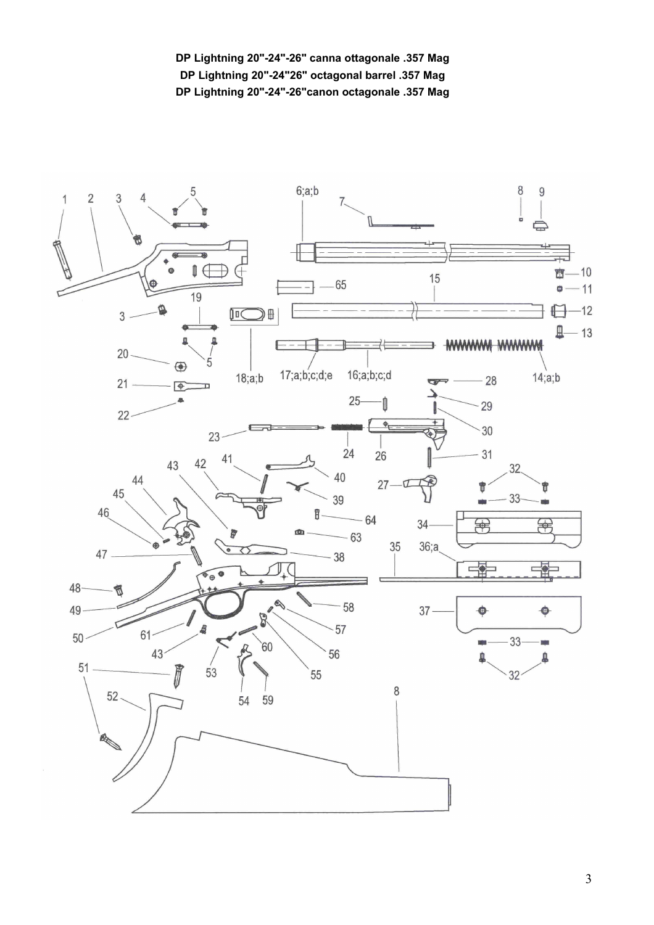**DP Lightning 20"-24"-26" canna ottagonale .357 Mag DP Lightning 20"-24"26" octagonal barrel .357 Mag DP Lightning 20"-24"-26"canon octagonale .357 Mag**



3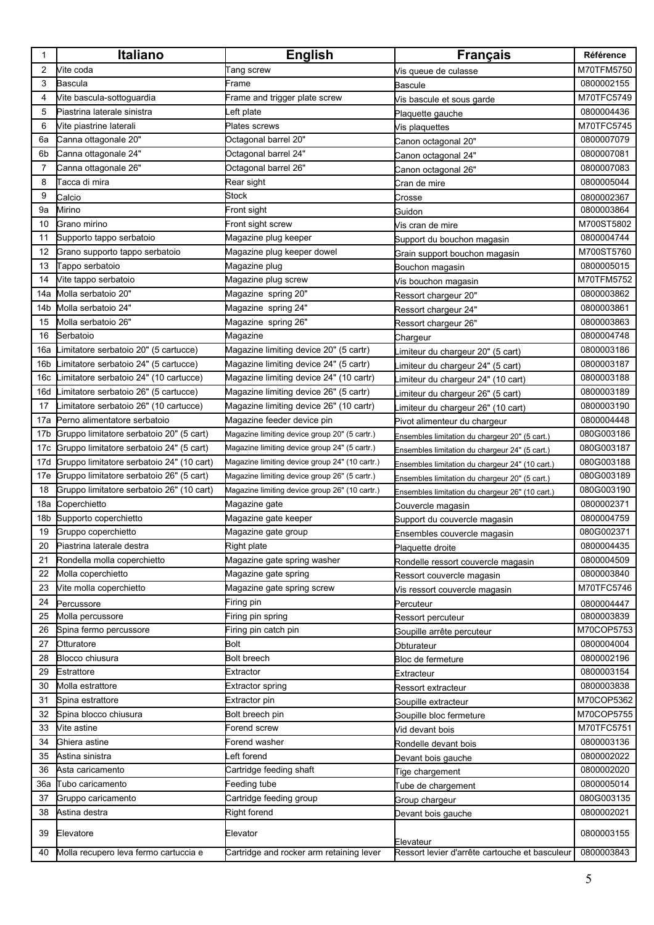| 1   | Italiano                                  | <b>English</b>                                 | <b>Français</b>                                 | <b>Référence</b> |
|-----|-------------------------------------------|------------------------------------------------|-------------------------------------------------|------------------|
| 2   | Vite coda                                 | Tang screw                                     | Vis queue de culasse                            | M70TFM5750       |
| 3   | Bascula                                   | Frame                                          | Bascule                                         | 0800002155       |
| 4   | Vite bascula-sottoguardia                 | Frame and trigger plate screw                  | Vis bascule et sous garde                       | M70TFC5749       |
| 5   | Piastrina laterale sinistra               | eft plate.                                     | Plaquette gauche                                | 0800004436       |
| 6   | Vite piastrine laterali                   | Plates screws                                  | Vis plaquettes                                  | M70TFC5745       |
| 6а  | Canna ottagonale 20"                      | Octagonal barrel 20"                           | Canon octagonal 20"                             | 0800007079       |
| 6b  | Canna ottagonale 24"                      | Octagonal barrel 24"                           | Canon octagonal 24"                             | 0800007081       |
| 7   | Canna ottagonale 26"                      | Octagonal barrel 26"                           | Canon octagonal 26"                             | 0800007083       |
| 8   | Tacca di mira                             | Rear sight                                     | Cran de mire                                    | 0800005044       |
| 9   | Calcio                                    | Stock                                          | Crosse                                          | 0800002367       |
| 9а  | Mirino                                    | Front sight                                    | Guidon                                          | 0800003864       |
| 10  | Grano mirino                              | Front sight screw                              | Vis cran de mire                                | M700ST5802       |
| 11  | Supporto tappo serbatoio                  | Magazine plug keeper                           | Support du bouchon magasin                      | 0800004744       |
| 12  | Grano supporto tappo serbatoio            | Magazine plug keeper dowel                     | Grain support bouchon magasin                   | M700ST5760       |
| 13  | Tappo serbatoio                           | Magazine plug                                  | Bouchon magasin                                 | 0800005015       |
| 14  | Vite tappo serbatoio                      | Magazine plug screw                            | Vis bouchon magasin                             | M70TFM5752       |
| 14a | Molla serbatoio 20"                       | Magazine spring 20"                            | Ressort chargeur 20"                            | 0800003862       |
| 14b | Molla serbatoio 24"                       | Magazine spring 24"                            | Ressort chargeur 24"                            | 0800003861       |
| 15  | Molla serbatoio 26"                       | Magazine spring 26"                            | Ressort chargeur 26"                            | 0800003863       |
| 16  | Serbatoio                                 | Magazine                                       | Chargeur                                        | 0800004748       |
| 16a | Limitatore serbatoio 20" (5 cartucce)     | Magazine limiting device 20" (5 cartr)         | imiteur du chargeur 20" (5 cart)                | 0800003186       |
| 16b | Limitatore serbatoio 24" (5 cartucce)     | Magazine limiting device 24" (5 cartr)         | imiteur du chargeur 24" (5 cart)                | 0800003187       |
| 16c | Limitatore serbatoio 24" (10 cartucce)    | Magazine limiting device 24" (10 cartr)        | imiteur du chargeur 24" (10 cart).              | 0800003188       |
| 16d | imitatore serbatoio 26" (5 cartucce)      | Magazine limiting device 26" (5 cartr)         | imiteur du chargeur 26" (5 cart)                | 0800003189       |
| 17  | imitatore serbatoio 26" (10 cartucce).    | Magazine limiting device 26" (10 cartr)        | imiteur du chargeur 26" (10 cart).              | 0800003190       |
| 17a | Perno alimentatore serbatoio              | Magazine feeder device pin                     | Pivot alimenteur du chargeur                    | 0800004448       |
| 17b | Gruppo limitatore serbatoio 20" (5 cart)  | Magazine limiting device group 20" (5 cartr.)  | Ensembles limitation du chargeur 20" (5 cart.)  | 080G003186       |
| 17c | Gruppo limitatore serbatoio 24" (5 cart)  | Magazine limiting device group 24" (5 cartr.)  | Ensembles limitation du chargeur 24" (5 cart.)  | 080G003187       |
| 17d | Gruppo limitatore serbatoio 24" (10 cart) | Magazine limiting device group 24" (10 cartr.) | Ensembles limitation du chargeur 24" (10 cart.) | 080G003188       |
| 17e | Gruppo limitatore serbatoio 26" (5 cart)  | Magazine limiting device group 26" (5 cartr.)  | Ensembles limitation du chargeur 20" (5 cart.)  | 080G003189       |
| 18  | Gruppo limitatore serbatoio 26" (10 cart) | Magazine limiting device group 26" (10 cartr.) | Ensembles limitation du chargeur 26" (10 cart.) | 080G003190       |
| 18a | Coperchietto                              | Magazine gate                                  | Couvercle magasin                               | 0800002371       |
| 18b | Supporto coperchietto                     | Magazine gate keeper                           | Support du couvercle magasin                    | 0800004759       |
| 19  | Gruppo coperchietto                       | Magazine gate group                            | Ensembles couvercle magasin                     | 080G002371       |
| 20  | Piastrina laterale destra                 | Right plate                                    | Plaquette droite                                | 0800004435       |
| 21  | Rondella molla coperchietto               | Magazine gate spring washer                    | Rondelle ressort couvercle magasin              | 0800004509       |
| 22  | Molla coperchietto                        | Magazine gate spring                           | Ressort couvercle magasin                       | 0800003840       |
| 23  | Vite molla coperchietto                   | Magazine gate spring screw                     | Vis ressort couvercle magasin                   | M70TFC5746       |
| 24  | Percussore                                | Firing pin                                     | Percuteur                                       | 0800004447       |
| 25  | Molla percussore                          | Firing pin spring                              | Ressort percuteur                               | 0800003839       |
| 26  | Spina fermo percussore                    | Firing pin catch pin                           | Goupille arrête percuteur                       | M70COP5753       |
| 27  | Otturatore                                | Bolt                                           | Obturateur                                      | 0800004004       |
| 28  | Blocco chiusura                           | Bolt breech                                    | Bloc de fermeture                               | 0800002196       |
| 29  | Estrattore                                | Extractor                                      | Extracteur                                      | 0800003154       |
| 30  | Molla estrattore                          | Extractor spring                               | Ressort extracteur                              | 0800003838       |
| 31  | Spina estrattore                          | Extractor pin                                  | Goupille extracteur                             | M70COP5362       |
| 32  | Spina blocco chiusura                     | Bolt breech pin                                | Goupille bloc fermeture                         | M70COP5755       |
| 33  | Vite astine                               | Forend screw                                   | Vid devant bois                                 | M70TFC5751       |
| 34  | Ghiera astine                             | Forend washer                                  | Rondelle devant bois                            | 0800003136       |
| 35  | Astina sinistra                           | eft forend                                     | Devant bois gauche                              | 0800002022       |
| 36  | Asta caricamento                          | Cartridge feeding shaft                        | Tige chargement                                 | 0800002020       |
| 36a | Tubo caricamento                          | Feeding tube                                   | Tube de chargement                              | 0800005014       |
| 37  | Gruppo caricamento                        | Cartridge feeding group                        | Group chargeur                                  | 080G003135       |
| 38  | Astina destra                             | Right forend                                   | Devant bois gauche                              | 0800002021       |
| 39  | Elevatore                                 | Elevator                                       | Elevateur                                       | 0800003155       |
| 40  | Molla recupero leva fermo cartuccia e     | Cartridge and rocker arm retaining lever       | Ressort levier d'arrête cartouche et basculeur  | 0800003843       |